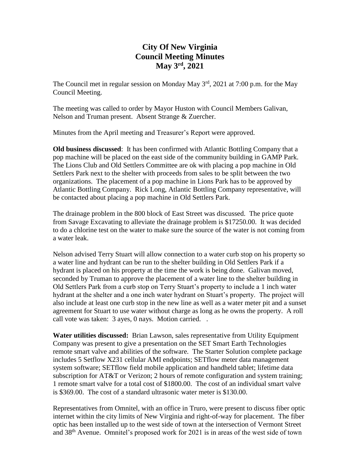## **City Of New Virginia Council Meeting Minutes May 3rd , 2021**

The Council met in regular session on Monday May  $3<sup>rd</sup>$ , 2021 at 7:00 p.m. for the May Council Meeting.

The meeting was called to order by Mayor Huston with Council Members Galivan, Nelson and Truman present. Absent Strange & Zuercher.

Minutes from the April meeting and Treasurer's Report were approved.

**Old business discussed**: It has been confirmed with Atlantic Bottling Company that a pop machine will be placed on the east side of the community building in GAMP Park. The Lions Club and Old Settlers Committee are ok with placing a pop machine in Old Settlers Park next to the shelter with proceeds from sales to be split between the two organizations. The placement of a pop machine in Lions Park has to be approved by Atlantic Bottling Company. Rick Long, Atlantic Bottling Company representative, will be contacted about placing a pop machine in Old Settlers Park.

The drainage problem in the 800 block of East Street was discussed. The price quote from Savage Excavating to alleviate the drainage problem is \$17250.00. It was decided to do a chlorine test on the water to make sure the source of the water is not coming from a water leak.

Nelson advised Terry Stuart will allow connection to a water curb stop on his property so a water line and hydrant can be run to the shelter building in Old Settlers Park if a hydrant is placed on his property at the time the work is being done. Galivan moved, seconded by Truman to approve the placement of a water line to the shelter building in Old Settlers Park from a curb stop on Terry Stuart's property to include a 1 inch water hydrant at the shelter and a one inch water hydrant on Stuart's property. The project will also include at least one curb stop in the new line as well as a water meter pit and a sunset agreement for Stuart to use water without charge as long as he owns the property. A roll call vote was taken: 3 ayes, 0 nays. Motion carried. .

**Water utilities discussed:** Brian Lawson, sales representative from Utility Equipment Company was present to give a presentation on the SET Smart Earth Technologies remote smart valve and abilities of the software. The Starter Solution complete package includes 5 Setflow X231 cellular AMI endpoints; SETflow meter data management system software; SETflow field mobile application and handheld tablet; lifetime data subscription for AT&T or Verizon; 2 hours of remote configuration and system training; 1 remote smart valve for a total cost of \$1800.00. The cost of an individual smart valve is \$369.00. The cost of a standard ultrasonic water meter is \$130.00.

Representatives from Omnitel, with an office in Truro, were present to discuss fiber optic internet within the city limits of New Virginia and right-of-way for placement. The fiber optic has been installed up to the west side of town at the intersection of Vermont Street and 38th Avenue. Omnitel's proposed work for 2021 is in areas of the west side of town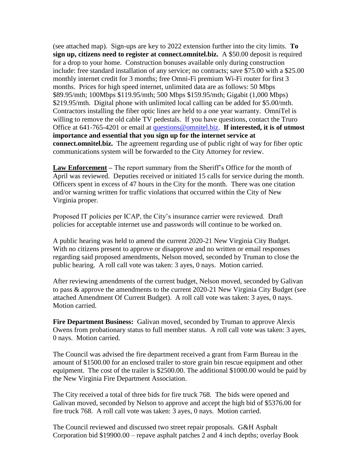(see attached map). Sign-ups are key to 2022 extension further into the city limits. **To sign up, citizens need to register at connect.omnitel.biz.** A \$50.00 deposit is required for a drop to your home. Construction bonuses available only during construction include: free standard installation of any service; no contracts; save \$75.00 with a \$25.00 monthly internet credit for 3 months; free Omni-Fi premium Wi-Fi router for first 3 months. Prices for high speed internet, unlimited data are as follows: 50 Mbps \$89.95/mth; 100Mbps \$119.95/mth; 500 Mbps \$159.95/mth; Gigabit (1,000 Mbps) \$219.95/mth. Digital phone with unlimited local calling can be added for \$5.00/mth. Contractors installing the fiber optic lines are held to a one year warranty. OmniTel is willing to remove the old cable TV pedestals. If you have questions, contact the Truro Office at 641-765-4201 or email at [questions@omnitel.biz.](mailto:questions@omnitel.biz) **If interested, it is of utmost importance and essential that you sign up for the internet service at connect.omnitel.biz.** The agreement regarding use of public right of way for fiber optic communications system will be forwarded to the City Attorney for review.

**Law Enforcement –** The report summary from the Sheriff's Office for the month of April was reviewed. Deputies received or initiated 15 calls for service during the month. Officers spent in excess of 47 hours in the City for the month. There was one citation and/or warning written for traffic violations that occurred within the City of New Virginia proper.

Proposed IT policies per ICAP, the City's insurance carrier were reviewed. Draft policies for acceptable internet use and passwords will continue to be worked on.

A public hearing was held to amend the current 2020-21 New Virginia City Budget. With no citizens present to approve or disapprove and no written or email responses regarding said proposed amendments, Nelson moved, seconded by Truman to close the public hearing. A roll call vote was taken: 3 ayes, 0 nays. Motion carried.

After reviewing amendments of the current budget, Nelson moved, seconded by Galivan to pass & approve the amendments to the current 2020-21 New Virginia City Budget (see attached Amendment Of Current Budget). A roll call vote was taken: 3 ayes, 0 nays. Motion carried.

**Fire Department Business:** Galivan moved, seconded by Truman to approve Alexis Owens from probationary status to full member status. A roll call vote was taken: 3 ayes, 0 nays. Motion carried.

The Council was advised the fire department received a grant from Farm Bureau in the amount of \$1500.00 for an enclosed trailer to store grain bin rescue equipment and other equipment. The cost of the trailer is \$2500.00. The additional \$1000.00 would be paid by the New Virginia Fire Department Association.

The City received a total of three bids for fire truck 768. The bids were opened and Galivan moved, seconded by Nelson to approve and accept the high bid of \$5376.00 for fire truck 768. A roll call vote was taken: 3 ayes, 0 nays. Motion carried.

The Council reviewed and discussed two street repair proposals. G&H Asphalt Corporation bid \$19900.00 – repave asphalt patches 2 and 4 inch depths; overlay Book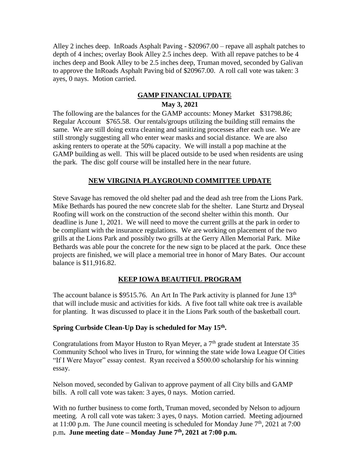Alley 2 inches deep. InRoads Asphalt Paving - \$20967.00 – repave all asphalt patches to depth of 4 inches; overlay Book Alley 2.5 inches deep. With all repave patches to be 4 inches deep and Book Alley to be 2.5 inches deep, Truman moved, seconded by Galivan to approve the InRoads Asphalt Paving bid of \$20967.00. A roll call vote was taken: 3 ayes, 0 nays. Motion carried.

# **GAMP FINANCIAL UPDATE**

### **May 3, 2021**

The following are the balances for the GAMP accounts: Money Market \$31798.86; Regular Account \$765.58. Our rentals/groups utilizing the building still remains the same. We are still doing extra cleaning and sanitizing processes after each use. We are still strongly suggesting all who enter wear masks and social distance. We are also asking renters to operate at the 50% capacity. We will install a pop machine at the GAMP building as well. This will be placed outside to be used when residents are using the park. The disc golf course will be installed here in the near future.

#### **NEW VIRGINIA PLAYGROUND COMMITTEE UPDATE**

Steve Savage has removed the old shelter pad and the dead ash tree from the Lions Park. Mike Bethards has poured the new concrete slab for the shelter. Lane Sturtz and Dryseal Roofing will work on the construction of the second shelter within this month. Our deadline is June 1, 2021. We will need to move the current grills at the park in order to be compliant with the insurance regulations. We are working on placement of the two grills at the Lions Park and possibly two grills at the Gerry Allen Memorial Park. Mike Bethards was able pour the concrete for the new sign to be placed at the park. Once these projects are finished, we will place a memorial tree in honor of Mary Bates. Our account balance is \$11,916.82.

#### **KEEP IOWA BEAUTIFUL PROGRAM**

The account balance is \$9515.76. An Art In The Park activity is planned for June  $13<sup>th</sup>$ that will include music and activities for kids. A five foot tall white oak tree is available for planting. It was discussed to place it in the Lions Park south of the basketball court.

#### **Spring Curbside Clean-Up Day is scheduled for May 15th .**

Congratulations from Mayor Huston to Ryan Meyer, a  $7<sup>th</sup>$  grade student at Interstate 35 Community School who lives in Truro, for winning the state wide Iowa League Of Cities "If I Were Mayor" essay contest. Ryan received a \$500.00 scholarship for his winning essay.

Nelson moved, seconded by Galivan to approve payment of all City bills and GAMP bills. A roll call vote was taken: 3 ayes, 0 nays. Motion carried.

With no further business to come forth, Truman moved, seconded by Nelson to adjourn meeting. A roll call vote was taken: 3 ayes, 0 nays. Motion carried. Meeting adjourned at 11:00 p.m. The June council meeting is scheduled for Monday June  $7<sup>th</sup>$ , 2021 at 7:00 p.m**. June meeting date – Monday June 7th , 2021 at 7:00 p.m.**